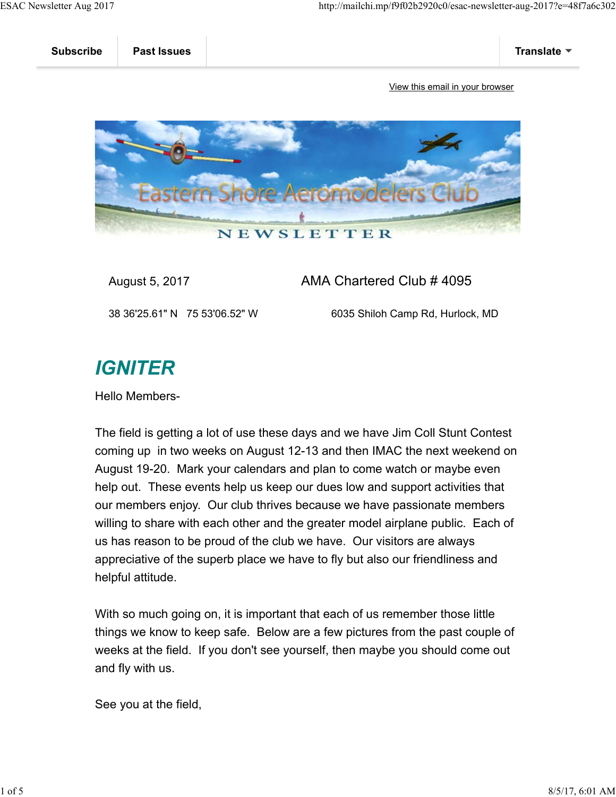

August 5, 2017 AMA Chartered Club # 4095

38 36'25.61" N 75 53'06.52" W 6035 Shiloh Camp Rd, Hurlock, MD

## **IGNITER**

Hello Members-

The field is getting a lot of use these days and we have Jim Coll Stunt Contest coming up in two weeks on August 12-13 and then IMAC the next weekend on August 19-20. Mark your calendars and plan to come watch or maybe even help out. These events help us keep our dues low and support activities that our members enjoy. Our club thrives because we have passionate members willing to share with each other and the greater model airplane public. Each of us has reason to be proud of the club we have. Our visitors are always appreciative of the superb place we have to fly but also our friendliness and helpful attitude.

With so much going on, it is important that each of us remember those little things we know to keep safe. Below are a few pictures from the past couple of weeks at the field. If you don't see yourself, then maybe you should come out and fly with us.

See you at the field,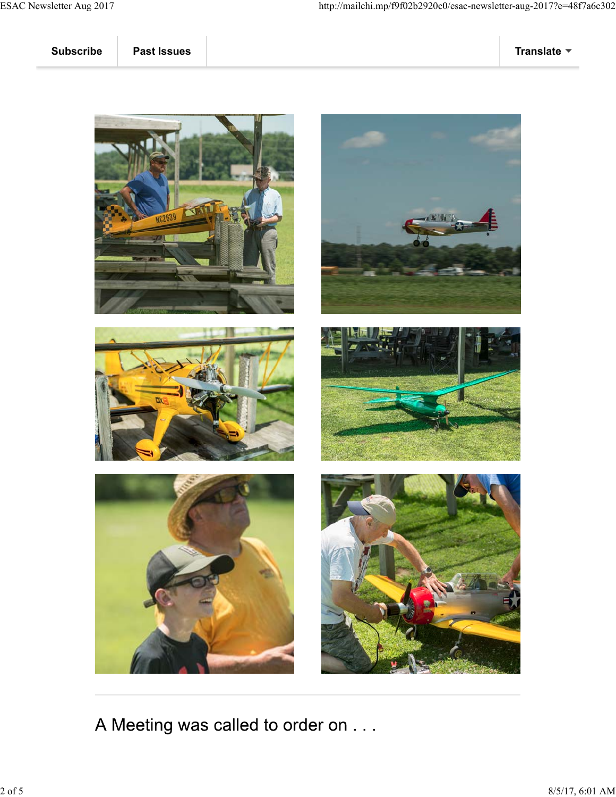











A Meeting was called to order on . . .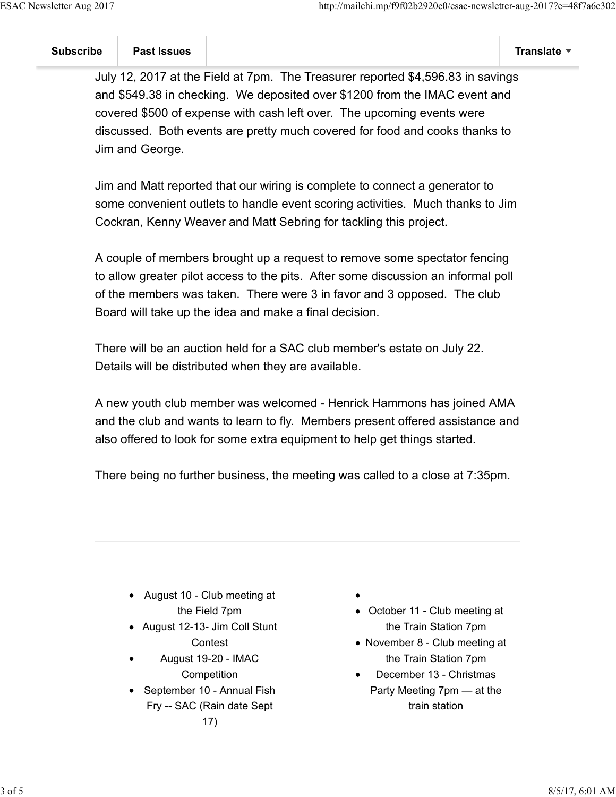July 12, 2017 at the Field at 7pm. The Treasurer reported \$4,596.83 in savings and \$549.38 in checking. We deposited over \$1200 from the IMAC event and covered \$500 of expense with cash left over. The upcoming events were discussed. Both events are pretty much covered for food and cooks thanks to Jim and George.

Jim and Matt reported that our wiring is complete to connect a generator to some convenient outlets to handle event scoring activities. Much thanks to Jim Cockran, Kenny Weaver and Matt Sebring for tackling this project.

A couple of members brought up a request to remove some spectator fencing to allow greater pilot access to the pits. After some discussion an informal poll of the members was taken. There were 3 in favor and 3 opposed. The club Board will take up the idea and make a final decision.

There will be an auction held for a SAC club member's estate on July 22. Details will be distributed when they are available.

A new youth club member was welcomed - Henrick Hammons has joined AMA and the club and wants to learn to fly. Members present offered assistance and also offered to look for some extra equipment to help get things started.

There being no further business, the meeting was called to a close at 7:35pm.

- August 10 Club meeting at the Field 7pm
- August 12-13- Jim Coll Stunt **Contest**
- August 19-20 IMAC **Competition**
- September 10 Annual Fish Fry -- SAC (Rain date Sept
- 
- October 11 Club meeting at the Train Station 7pm
- November 8 Club meeting at the Train Station 7pm
- December 13 Christmas Party Meeting 7pm — at the train station